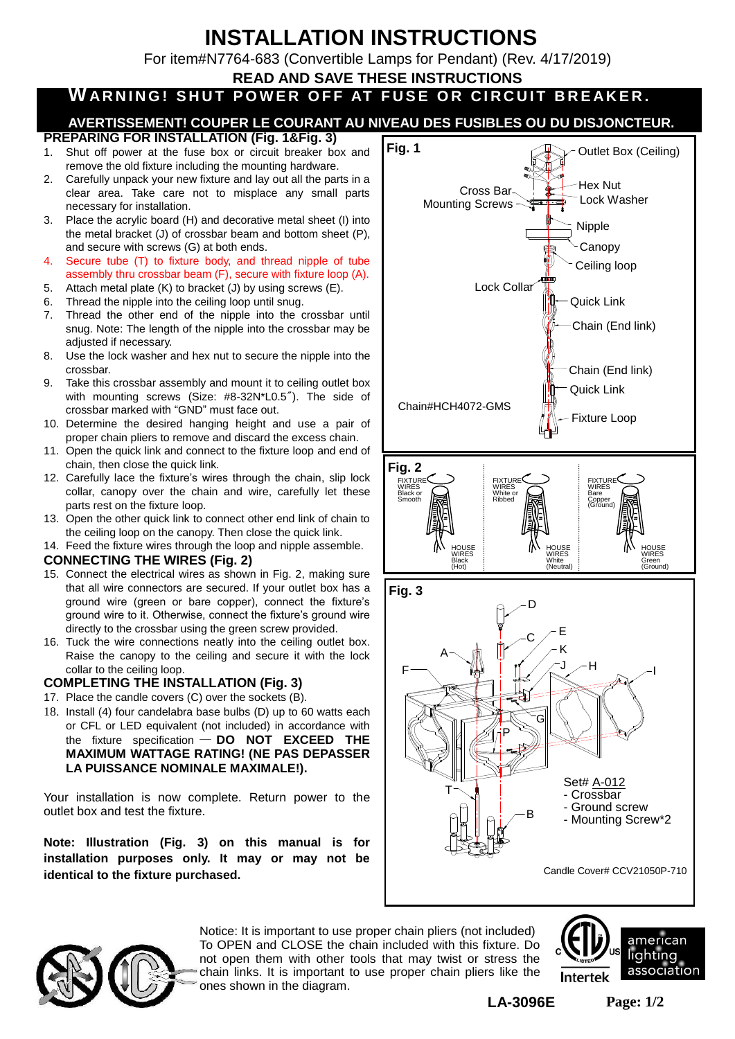# **INSTALLATION INSTRUCTIONS**

For item#N7764-683 (Convertible Lamps for Pendant) (Rev. 4/17/2019)

**READ AND SAVE THESE INSTRUCTIONS**

# WARNING! SHUT POWER OFF AT FUSE OR CIRCUIT BREAKER.

## **AVERTISSEMENT! COUPER LE COURANT AU NIVEAU DES FUSIBLES OU DU DISJONCTEUR.**

- **PREPARING FOR INSTALLATION (Fig. 1&Fig. 3)**
- 1. Shut off power at the fuse box or circuit breaker box and remove the old fixture including the mounting hardware.
- 2. Carefully unpack your new fixture and lay out all the parts in a clear area. Take care not to misplace any small parts necessary for installation.
- 3. Place the acrylic board (H) and decorative metal sheet (I) into the metal bracket (J) of crossbar beam and bottom sheet (P), and secure with screws (G) at both ends.
- 4. Secure tube (T) to fixture body, and thread nipple of tube assembly thru crossbar beam (F), secure with fixture loop (A).
- 5. Attach metal plate (K) to bracket (J) by using screws (E).
- 6. Thread the nipple into the ceiling loop until snug.
- 7. Thread the other end of the nipple into the crossbar until snug. Note: The length of the nipple into the crossbar may be adjusted if necessary.
- 8. Use the lock washer and hex nut to secure the nipple into the crossbar.
- 9. Take this crossbar assembly and mount it to ceiling outlet box with mounting screws (Size: #8-32N\*L0.5"). The side of crossbar marked with "GND" must face out.
- 10. Determine the desired hanging height and use a pair of proper chain pliers to remove and discard the excess chain.
- 11. Open the quick link and connect to the fixture loop and end of chain, then close the quick link.
- 12. Carefully lace the fixture's wires through the chain, slip lock collar, canopy over the chain and wire, carefully let these parts rest on the fixture loop.
- 13. Open the other quick link to connect other end link of chain to the ceiling loop on the canopy. Then close the quick link.
- 14. Feed the fixture wires through the loop and nipple assemble.

#### **CONNECTING THE WIRES (Fig. 2)**

- 15. Connect the electrical wires as shown in Fig. 2, making sure that all wire connectors are secured. If your outlet box has a ground wire (green or bare copper), connect the fixture's ground wire to it. Otherwise, connect the fixture's ground wire directly to the crossbar using the green screw provided.
- 16. Tuck the wire connections neatly into the ceiling outlet box. Raise the canopy to the ceiling and secure it with the lock collar to the ceiling loop.

### **COMPLETING THE INSTALLATION (Fig. 3)**

- 17. Place the candle covers (C) over the sockets (B).
- 18. Install (4) four candelabra base bulbs (D) up to 60 watts each or CFL or LED equivalent (not included) in accordance with the fixture specification — **DO NOT EXCEED THE MAXIMUM WATTAGE RATING! (NE PAS DEPASSER LA PUISSANCE NOMINALE MAXIMALE!).**

Your installation is now complete. Return power to the outlet box and test the fixture.

**Note: Illustration (Fig. 3) on this manual is for installation purposes only. It may or may not be identical to the fixture purchased.**



Candle Cover# CCV21050P-710



Notice: It is important to use proper chain pliers (not included) To OPEN and CLOSE the chain included with this fixture. Do not open them with other tools that may twist or stress the chain links. It is important to use proper chain pliers like the ones shown in the diagram.



**LA-3096E**

**Page: 1/2**